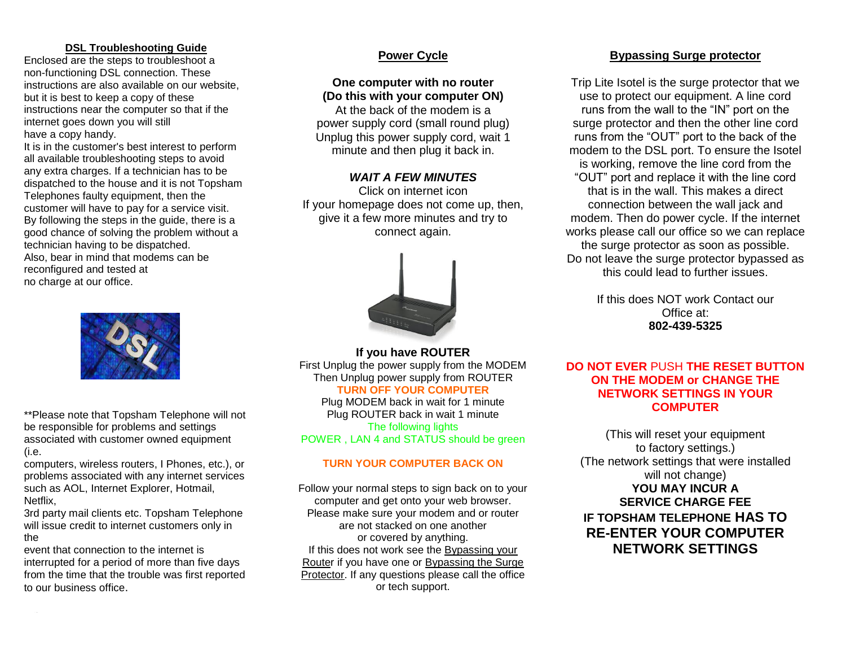#### **DSL Troubleshooting Guide**

Enclosed are the steps to troubleshoot a non-functioning DSL connection. These instructions are also available on our website, but it is best to keep a copy of these instructions near the computer so that if the internet goes down you will still have a copy handy.

It is in the customer's best interest to perform all available troubleshooting steps to avoid any extra charges. If a technician has to be dispatched to the house and it is not Topsham Telephones faulty equipment, then the customer will have to pay for a service visit. By following the steps in the guide, there is a good chance of solving the problem without a technician having to be dispatched. Also, bear in mind that modems can be reconfigured and tested at no charge at our office.



\*\*Please note that Topsham Telephone will not be responsible for problems and settings associated with customer owned equipment (i.e.

computers, wireless routers, I Phones, etc.), or problems associated with any internet services such as AOL, Internet Explorer, Hotmail, Netflix,

3rd party mail clients etc. Topsham Telephone will issue credit to internet customers only in the

event that connection to the internet is interrupted for a period of more than five days from the time that the trouble was first reported to our business office.

# **Power Cycle**

### **One computer with no router (Do this with your computer ON)**

At the back of the modem is a power supply cord (small round plug) Unplug this power supply cord, wait 1 minute and then plug it back in.

#### *WAIT A FEW MINUTES*

Click on internet icon If your homepage does not come up, then, give it a few more minutes and try to connect again.



**If you have ROUTER** First Unplug the power supply from the MODEM Then Unplug power supply from ROUTER **TURN OFF YOUR COMPUTER** Plug MODEM back in wait for 1 minute Plug ROUTER back in wait 1 minute The following lights POWER , LAN 4 and STATUS should be green

#### **TURN YOUR COMPUTER BACK ON**

Follow your normal steps to sign back on to your computer and get onto your web browser. Please make sure your modem and or router are not stacked on one another or covered by anything. If this does not work see the Bypassing your Router if you have one or Bypassing the Surge Protector. If any questions please call the office or tech support.

# **Bypassing Surge protector**

Trip Lite Isotel is the surge protector that we use to protect our equipment. A line cord runs from the wall to the "IN" port on the surge protector and then the other line cord runs from the "OUT" port to the back of the modem to the DSL port. To ensure the Isotel is working, remove the line cord from the "OUT" port and replace it with the line cord that is in the wall. This makes a direct connection between the wall jack and modem. Then do power cycle. If the internet works please call our office so we can replace the surge protector as soon as possible. Do not leave the surge protector bypassed as this could lead to further issues.

> If this does NOT work Contact our Office at: **802-439-5325**

#### **DO NOT EVER** PUSH **THE RESET BUTTON ON THE MODEM or CHANGE THE NETWORK SETTINGS IN YOUR COMPUTER**

(This will reset your equipment to factory settings.) (The network settings that were installed will not change) **YOU MAY INCUR A SERVICE CHARGE FEE IF TOPSHAM TELEPHONE HAS TO RE-ENTER YOUR COMPUTER NETWORK SETTINGS**